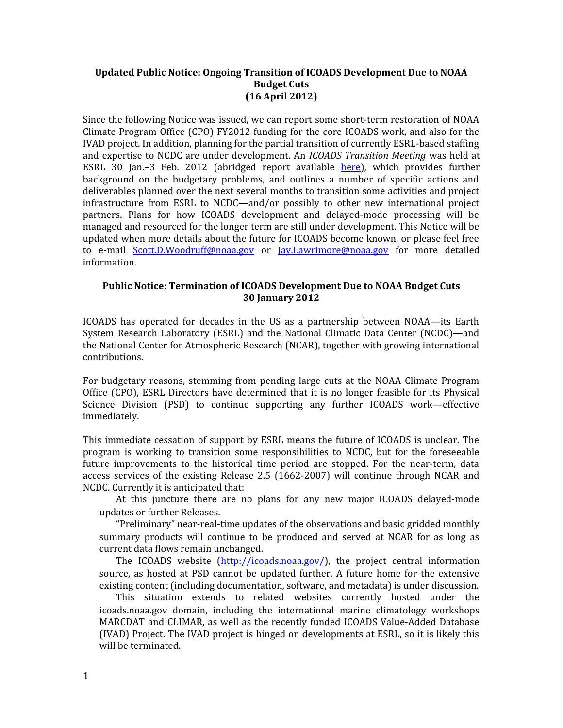## **Updated Public Notice: Ongoing Transition of ICOADS Development Due to NOAA Budget Cuts (16 April 2012)**

Since the following Notice was issued, we can report some short-term restoration of NOAA Climate Program Office (CPO) FY2012 funding for the core ICOADS work, and also for the IVAD project. In addition, planning for the partial transition of currently ESRL-based staffing and expertise to NCDC are under development. An *ICOADS Transition Meeting* was held at ESRL 30 Jan.-3 Feb. 2012 (abridged report available [here\)](http://icoads.noaa.gov/icoads-trans-rpt-v6-update.pdf), which provides further background on the budgetary problems, and outlines a number of specific actions and deliverables planned over the next several months to transition some activities and project infrastructure from ESRL to NCDC—and/or possibly to other new international project partners. Plans for how ICOADS development and delayed-mode processing will be managed and resourced for the longer term are still under development. This Notice will be updated when more details about the future for ICOADS become known, or please feel free to e-mail [Scott.D.Woodruff@noaa.gov](mailto:Scott.D.Woodruff@noaa.gov) or [Jay.Lawrimore@noaa.gov](mailto:Jay.Lawrimore@noaa.gov) for more detailed information.

## **Public Notice: Termination of ICOADS Development Due to NOAA Budget Cuts 30 January 2012**

ICOADS has operated for decades in the US as a partnership between NOAA—its Earth System Research Laboratory (ESRL) and the National Climatic Data Center (NCDC)—and the National Center for Atmospheric Research (NCAR), together with growing international contributions.

For budgetary reasons, stemming from pending large cuts at the NOAA Climate Program Office (CPO), ESRL Directors have determined that it is no longer feasible for its Physical Science Division (PSD) to continue supporting any further ICOADS work—effective immediately.

This immediate cessation of support by ESRL means the future of ICOADS is unclear. The program is working to transition some responsibilities to NCDC, but for the foreseeable future improvements to the historical time period are stopped. For the near-term, data access services of the existing Release 2.5 (1662-2007) will continue through NCAR and NCDC. Currently it is anticipated that:

At this juncture there are no plans for any new major ICOADS delayed-mode updates or further Releases.

"Preliminary" near-real-time updates of the observations and basic gridded monthly summary products will continue to be produced and served at NCAR for as long as current data flows remain unchanged.

The ICOADS website [\(http://icoads.noaa.gov/\)](http://icoads.noaa.gov/), the project central information source, as hosted at PSD cannot be updated further. A future home for the extensive existing content (including documentation, software, and metadata) is under discussion.

This situation extends to related websites currently hosted under the icoads.noaa.gov domain, including the international marine climatology workshops MARCDAT and CLIMAR, as well as the recently funded ICOADS Value-Added Database (IVAD) Project. The IVAD project is hinged on developments at ESRL, so it is likely this will be terminated.